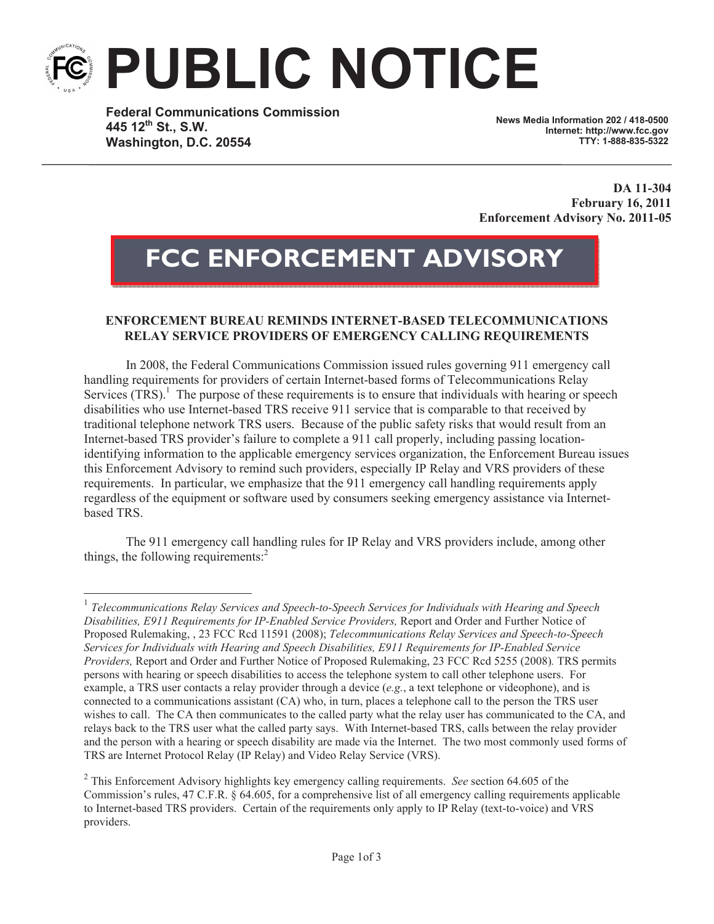## **PUBLIC NOTICE**

**Federal Communications Commission 445 12th St., S.W. Washington, D.C. 20554**

**News Media Information 202 / 418-0500 Internet: http://www.fcc.gov TTY: 1-888-835-5322**

**DA 11-304 February 16, 2011 Enforcement Advisory No. 2011-05**

## **FCC ENFORCEMENT ADVISORY**

## **ENFORCEMENT BUREAU REMINDS INTERNET-BASED TELECOMMUNICATIONS RELAY SERVICE PROVIDERS OF EMERGENCY CALLING REQUIREMENTS**

In 2008, the Federal Communications Commission issued rules governing 911 emergency call handling requirements for providers of certain Internet-based forms of Telecommunications Relay Services  $(TRS)$ .<sup>1</sup> The purpose of these requirements is to ensure that individuals with hearing or speech disabilities who use Internet-based TRS receive 911 service that is comparable to that received by traditional telephone network TRS users. Because of the public safety risks that would result from an Internet-based TRS provider's failure to complete a 911 call properly, including passing locationidentifying information to the applicable emergency services organization, the Enforcement Bureau issues this Enforcement Advisory to remind such providers, especially IP Relay and VRS providers of these requirements. In particular, we emphasize that the 911 emergency call handling requirements apply regardless of the equipment or software used by consumers seeking emergency assistance via Internetbased TRS.

The 911 emergency call handling rules for IP Relay and VRS providers include, among other things, the following requirements: $<sup>2</sup>$ </sup>

<sup>&</sup>lt;sup>1</sup> Telecommunications Relay Services and Speech-to-Speech Services for Individuals with Hearing and Speech *Disabilities, E911 Requirements for IP-Enabled Service Providers,* Report and Order and Further Notice of Proposed Rulemaking, , 23 FCC Rcd 11591 (2008); *Telecommunications Relay Services and Speech-to-Speech Services for Individuals with Hearing and Speech Disabilities, E911 Requirements for IP-Enabled Service Providers,* Report and Order and Further Notice of Proposed Rulemaking, 23 FCC Rcd 5255 (2008)*.* TRS permits persons with hearing or speech disabilities to access the telephone system to call other telephone users. For example, a TRS user contacts a relay provider through a device (*e.g.*, a text telephone or videophone), and is connected to a communications assistant (CA) who, in turn, places a telephone call to the person the TRS user wishes to call. The CA then communicates to the called party what the relay user has communicated to the CA, and relays back to the TRS user what the called party says. With Internet-based TRS, calls between the relay provider and the person with a hearing or speech disability are made via the Internet. The two most commonly used forms of TRS are Internet Protocol Relay (IP Relay) and Video Relay Service (VRS).

<sup>2</sup> This Enforcement Advisory highlights key emergency calling requirements. *See* section 64.605 of the Commission's rules, 47 C.F.R. § 64.605, for a comprehensive list of all emergency calling requirements applicable to Internet-based TRS providers. Certain of the requirements only apply to IP Relay (text-to-voice) and VRS providers.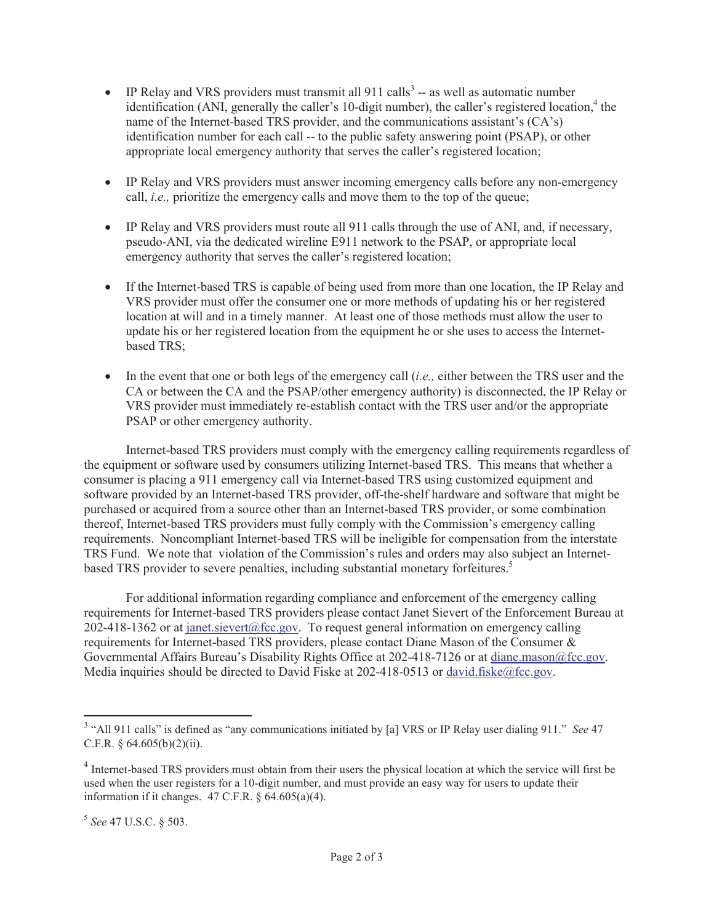- IP Relay and VRS providers must transmit all  $911$  calls<sup>3</sup> -- as well as automatic number identification (ANI, generally the caller's 10-digit number), the caller's registered location,<sup>4</sup> the name of the Internet-based TRS provider, and the communications assistant's (CA's) identification number for each call -- to the public safety answering point (PSAP), or other appropriate local emergency authority that serves the caller's registered location;
- · IP Relay and VRS providers must answer incoming emergency calls before any non-emergency call, *i.e.,* prioritize the emergency calls and move them to the top of the queue;
- · IP Relay and VRS providers must route all 911 calls through the use of ANI, and, if necessary, pseudo-ANI, via the dedicated wireline E911 network to the PSAP, or appropriate local emergency authority that serves the caller's registered location;
- If the Internet-based TRS is capable of being used from more than one location, the IP Relay and VRS provider must offer the consumer one or more methods of updating his or her registered location at will and in a timely manner. At least one of those methods must allow the user to update his or her registered location from the equipment he or she uses to access the Internetbased TRS;
- In the event that one or both legs of the emergency call (*i.e.*, either between the TRS user and the CA or between the CA and the PSAP/other emergency authority) is disconnected, the IP Relay or VRS provider must immediately re-establish contact with the TRS user and/or the appropriate PSAP or other emergency authority.

Internet-based TRS providers must comply with the emergency calling requirements regardless of the equipment or software used by consumers utilizing Internet-based TRS. This means that whether a consumer is placing a 911 emergency call via Internet-based TRS using customized equipment and software provided by an Internet-based TRS provider, off-the-shelf hardware and software that might be purchased or acquired from a source other than an Internet-based TRS provider, or some combination thereof, Internet-based TRS providers must fully comply with the Commission's emergency calling requirements. Noncompliant Internet-based TRS will be ineligible for compensation from the interstate TRS Fund. We note that violation of the Commission's rules and orders may also subject an Internetbased TRS provider to severe penalties, including substantial monetary forfeitures.<sup>5</sup>

For additional information regarding compliance and enforcement of the emergency calling requirements for Internet-based TRS providers please contact Janet Sievert of the Enforcement Bureau at 202-418-1362 or at janet.sievert@fcc.gov. To request general information on emergency calling requirements for Internet-based TRS providers, please contact Diane Mason of the Consumer & Governmental Affairs Bureau's Disability Rights Office at 202-418-7126 or at diane.mason@fcc.gov. Media inquiries should be directed to David Fiske at 202-418-0513 or david.fiske@fcc.gov.

<sup>&</sup>lt;sup>3</sup> "All 911 calls" is defined as "any communications initiated by [a] VRS or IP Relay user dialing 911." *See* 47 C.F.R.  $§$  64.605(b)(2)(ii).

<sup>&</sup>lt;sup>4</sup> Internet-based TRS providers must obtain from their users the physical location at which the service will first be used when the user registers for a 10-digit number, and must provide an easy way for users to update their information if it changes.  $47$  C.F.R.  $\S$  64.605(a)(4).

<sup>5</sup> *See* 47 U.S.C. § 503.